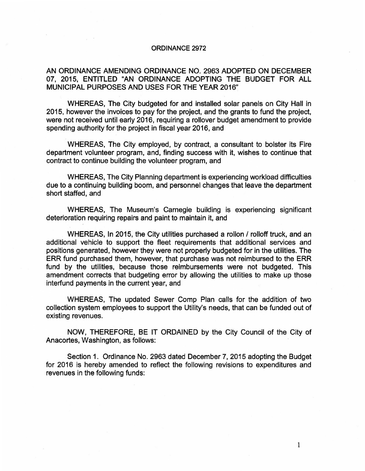## ORDINANCE 2972

## AN ORDINANCE AMENDING ORDINANCE NO. 2963 ADOPTED ON DECEMBER 07, 2015, ENTITLED "AN ORDINANCE ADOPTING THE BUDGET FOR ALL MUNICIPAL PURPOSES AND USES FOR THE YEAR 2016"

WHEREAS, The City budgeted for and installed solar panels on City Hall in 2015, however the invoices to pay for the project, and the grants to fund the project, were not received until early 2016, requiring a rollover budget amendment to provide spending authority for the project in fiscal year 2016, and

WHEREAS, The City employed, by contract, a consultant to bolster its Fire department volunteer program, and, finding success with it, wishes to continue that contract to continue building the volunteer program, and

WHEREAS, The City Planning department is experiencing workload difficulties due to a continuing building boom, and personnel changes that leave the department short staffed, and

WHEREAS, The Museum's Carnegie building is experiencing significant deterioration requiring repairs and paint to maintain it, and

WHEREAS, In 2015, the City utilities purchased a rollon / rolloff truck, and an additional vehicle to support the fleet requirements that additional services and positions generated, however they were not properly budgeted for in the utilities. The ERR fund purchased them, however, that purchase was not reimbursed to the ERR fund by the utilities, because those reimbursements were not budgeted. This amendment corrects that budgeting error by allowing the utilities to make up those interfund payments in the current year, and

WHEREAS, The updated Sewer Comp Plan calls for the addition of two collection system employees to support the Utility's needs, that can be funded out of existing revenues.

NOW, THEREFORE, BE IT ORDAINED by the City Council of the City of Anacortes, Washington, as follows:

Section 1. Ordinance No. 2963 dated December 7, 2015 adopting the Budget for 2016 is hereby amended to reflect the following revisions to expenditures and revenues in the following funds:

1